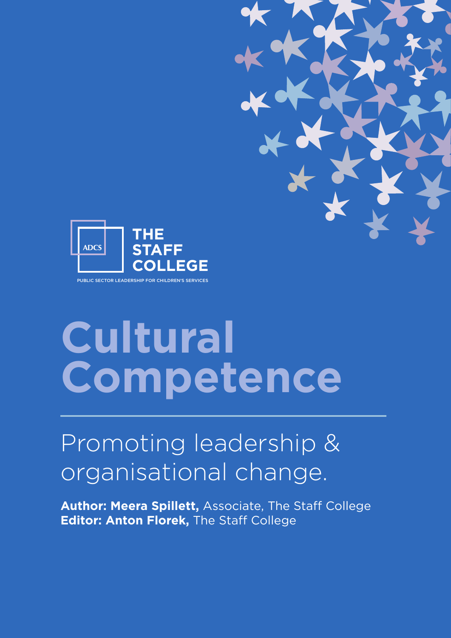



# **Cultural Competence**

# Promoting leadership & organisational change.

**Author: Meera Spillett,** Associate, The Staff College **Editor: Anton Florek,** The Staff College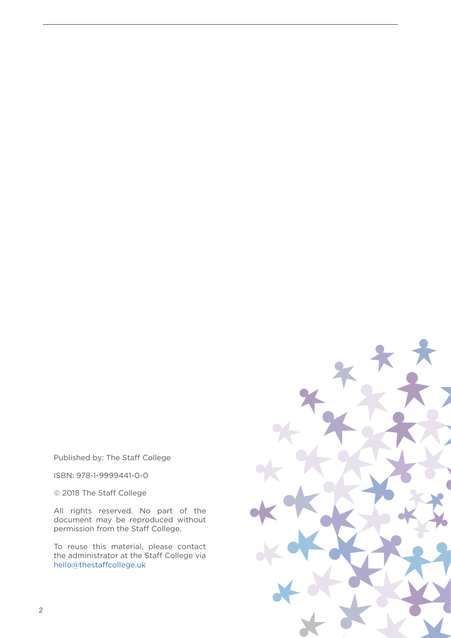Published by: The Staff College

ISBN: 978-1-9999441-0-0

© 2018 The Staff College

All rights reserved. No part of the document may be reproduced without permission from the Staff College.

To reuse this material, please contact the administrator at the Staff College via [hello@thestaffcollege.uk](mailto:hello@thestaffcollege.uk)

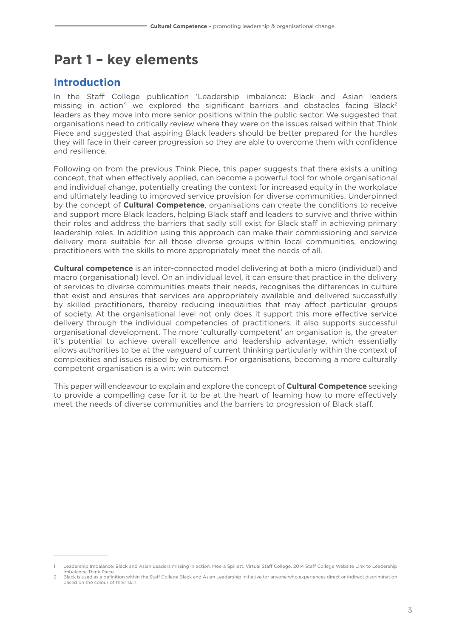# **Part 1 – key elements**

#### **Introduction**

In the Staff College publication 'Leadership imbalance: Black and Asian leaders missing in action<sup>1</sup> we explored the significant barriers and obstacles facing Black<sup>2</sup> leaders as they move into more senior positions within the public sector. We suggested that organisations need to critically review where they were on the issues raised within that Think Piece and suggested that aspiring Black leaders should be better prepared for the hurdles they will face in their career progression so they are able to overcome them with confidence and resilience.

Following on from the previous Think Piece, this paper suggests that there exists a uniting concept, that when effectively applied, can become a powerful tool for whole organisational and individual change, potentially creating the context for increased equity in the workplace and ultimately leading to improved service provision for diverse communities. Underpinned by the concept of **Cultural Competence**, organisations can create the conditions to receive and support more Black leaders, helping Black staff and leaders to survive and thrive within their roles and address the barriers that sadly still exist for Black staff in achieving primary leadership roles. In addition using this approach can make their commissioning and service delivery more suitable for all those diverse groups within local communities, endowing practitioners with the skills to more appropriately meet the needs of all.

**Cultural competence** is an inter-connected model delivering at both a micro (individual) and macro (organisational) level. On an individual level, it can ensure that practice in the delivery of services to diverse communities meets their needs, recognises the differences in culture that exist and ensures that services are appropriately available and delivered successfully by skilled practitioners, thereby reducing inequalities that may affect particular groups of society. At the organisational level not only does it support this more effective service delivery through the individual competencies of practitioners, it also supports successful organisational development. The more 'culturally competent' an organisation is, the greater it's potential to achieve overall excellence and leadership advantage, which essentially allows authorities to be at the vanguard of current thinking particularly within the context of complexities and issues raised by extremism. For organisations, becoming a more culturally competent organisation is a win: win outcome!

This paper will endeavour to explain and explore the concept of **Cultural Competence** seeking to provide a compelling case for it to be at the heart of learning how to more effectively meet the needs of diverse communities and the barriers to progression of Black staff.

<sup>1</sup> Leadership Imbalance: Black and Asian Leaders missing in action, Meera Spillett, Virtual Staff College, 2014 Staff College Website Link to Leadership Imbalance Think Piec

<sup>2</sup> Black is used as a definition within the Staff College Black and Asian Leadership Initiative for anyone who experiences direct or indirect discrimination based on the colour of their skin.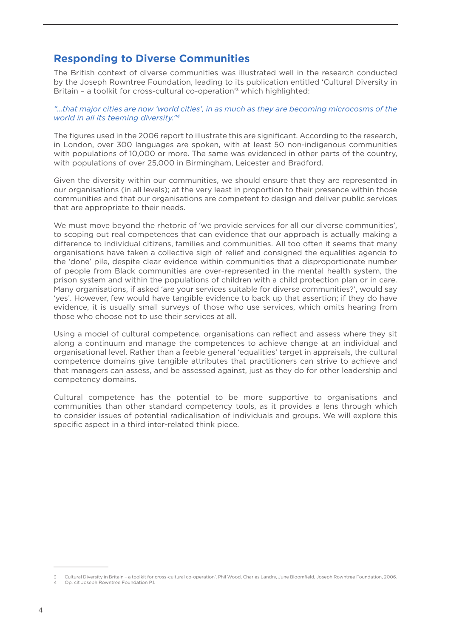#### **Responding to Diverse Communities**

The British context of diverse communities was illustrated well in the research conducted by the Joseph Rowntree Foundation, leading to its publication entitled 'Cultural Diversity in Britain – a toolkit for cross-cultural co-operation'3 which highlighted:

#### *"…that major cities are now 'world cities', in as much as they are becoming microcosms of the world in all its teeming diversity."4*

The figures used in the 2006 report to illustrate this are significant. According to the research, in London, over 300 languages are spoken, with at least 50 non-indigenous communities with populations of 10,000 or more. The same was evidenced in other parts of the country, with populations of over 25,000 in Birmingham, Leicester and Bradford.

Given the diversity within our communities, we should ensure that they are represented in our organisations (in all levels); at the very least in proportion to their presence within those communities and that our organisations are competent to design and deliver public services that are appropriate to their needs.

We must move beyond the rhetoric of 'we provide services for all our diverse communities', to scoping out real competences that can evidence that our approach is actually making a difference to individual citizens, families and communities. All too often it seems that many organisations have taken a collective sigh of relief and consigned the equalities agenda to the 'done' pile, despite clear evidence within communities that a disproportionate number of people from Black communities are over-represented in the mental health system, the prison system and within the populations of children with a child protection plan or in care. Many organisations, if asked 'are your services suitable for diverse communities?', would say 'yes'. However, few would have tangible evidence to back up that assertion; if they do have evidence, it is usually small surveys of those who use services, which omits hearing from those who choose not to use their services at all.

Using a model of cultural competence, organisations can reflect and assess where they sit along a continuum and manage the competences to achieve change at an individual and organisational level. Rather than a feeble general 'equalities' target in appraisals, the cultural competence domains give tangible attributes that practitioners can strive to achieve and that managers can assess, and be assessed against, just as they do for other leadership and competency domains.

Cultural competence has the potential to be more supportive to organisations and communities than other standard competency tools, as it provides a lens through which to consider issues of potential radicalisation of individuals and groups. We will explore this specific aspect in a third inter-related think piece.

<sup>3</sup> 'Cultural Diversity in Britain – a toolkit for cross-cultural co-operation', Phil Wood, Charles Landry, June Bloomfield, Joseph Rowntree Foundation, 2006. **4 Op. cit Joseph Rowntree Foundation P.1.**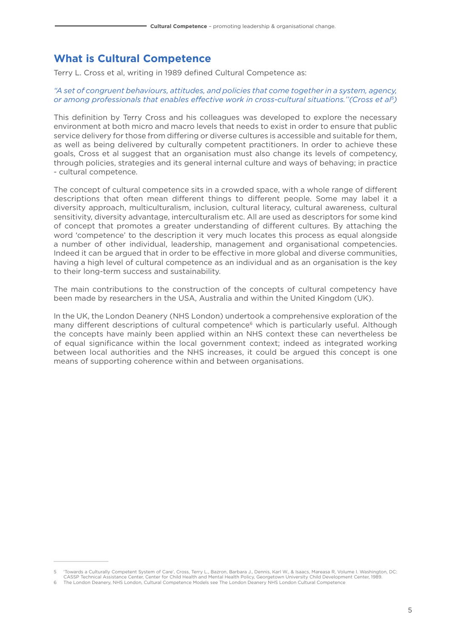#### **What is Cultural Competence**

Terry L. Cross et al, writing in 1989 defined Cultural Competence as:

#### *"A set of congruent behaviours, attitudes, and policies that come together in a system, agency, or among professionals that enables effective work in cross-cultural situations.''(Cross et al5)*

This definition by Terry Cross and his colleagues was developed to explore the necessary environment at both micro and macro levels that needs to exist in order to ensure that public service delivery for those from differing or diverse cultures is accessible and suitable for them, as well as being delivered by culturally competent practitioners. In order to achieve these goals, Cross et al suggest that an organisation must also change its levels of competency, through policies, strategies and its general internal culture and ways of behaving; in practice - cultural competence.

The concept of cultural competence sits in a crowded space, with a whole range of different descriptions that often mean different things to different people. Some may label it a diversity approach, multiculturalism, inclusion, cultural literacy, cultural awareness, cultural sensitivity, diversity advantage, interculturalism etc. All are used as descriptors for some kind of concept that promotes a greater understanding of different cultures. By attaching the word 'competence' to the description it very much locates this process as equal alongside a number of other individual, leadership, management and organisational competencies. Indeed it can be argued that in order to be effective in more global and diverse communities, having a high level of cultural competence as an individual and as an organisation is the key to their long-term success and sustainability.

The main contributions to the construction of the concepts of cultural competency have been made by researchers in the USA, Australia and within the United Kingdom (UK).

In the UK, the London Deanery (NHS London) undertook a comprehensive exploration of the many different descriptions of cultural competence<sup>6</sup> which is particularly useful. Although the concepts have mainly been applied within an NHS context these can nevertheless be of equal significance within the local government context; indeed as integrated working between local authorities and the NHS increases, it could be argued this concept is one means of supporting coherence within and between organisations.

<sup>5</sup> 'Towards a Culturally Competent System of Care', Cross, Terry L., Bazron, Barbara J., Dennis, Karl W., & Isaacs, Mareasa R, Volume I. Washington, DC: CASSP Technical Assistance Center, Center for Child Health and Mental Health Policy, Georgetown University Child Development Center, 1989.

<sup>6</sup> The London Deanery, NHS London, Cultural Competence Models see The London Deanery NHS London Cultural Competence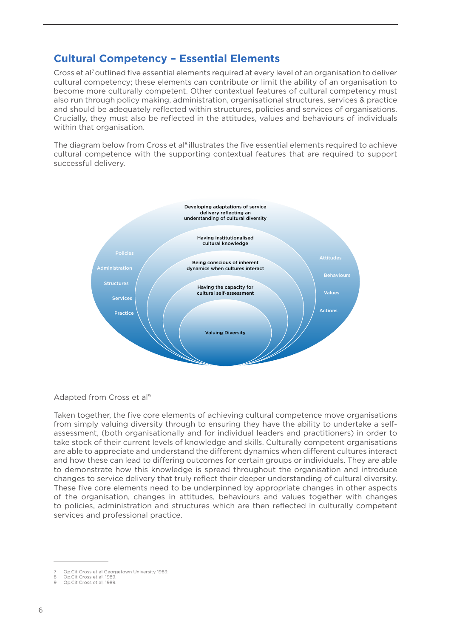#### **Cultural Competency – Essential Elements**

Cross et al<sup>7</sup> outlined five essential elements required at every level of an organisation to deliver cultural competency; these elements can contribute or limit the ability of an organisation to become more culturally competent. Other contextual features of cultural competency must also run through policy making, administration, organisational structures, services & practice and should be adequately reflected within structures, policies and services of organisations. Crucially, they must also be reflected in the attitudes, values and behaviours of individuals within that organisation.

The diagram below from Cross et al<sup>8</sup> illustrates the five essential elements required to achieve cultural competence with the supporting contextual features that are required to support successful delivery.



#### Adapted from Cross et al9

Taken together, the five core elements of achieving cultural competence move organisations from simply valuing diversity through to ensuring they have the ability to undertake a selfassessment, (both organisationally and for individual leaders and practitioners) in order to take stock of their current levels of knowledge and skills. Culturally competent organisations are able to appreciate and understand the different dynamics when different cultures interact and how these can lead to differing outcomes for certain groups or individuals. They are able to demonstrate how this knowledge is spread throughout the organisation and introduce changes to service delivery that truly reflect their deeper understanding of cultural diversity. These five core elements need to be underpinned by appropriate changes in other aspects of the organisation, changes in attitudes, behaviours and values together with changes to policies, administration and structures which are then reflected in culturally competent services and professional practice.

<sup>7</sup> Op.Cit Cross et al Georgetown University 1989.

<sup>8</sup> Op.Cit Cross et al, 1989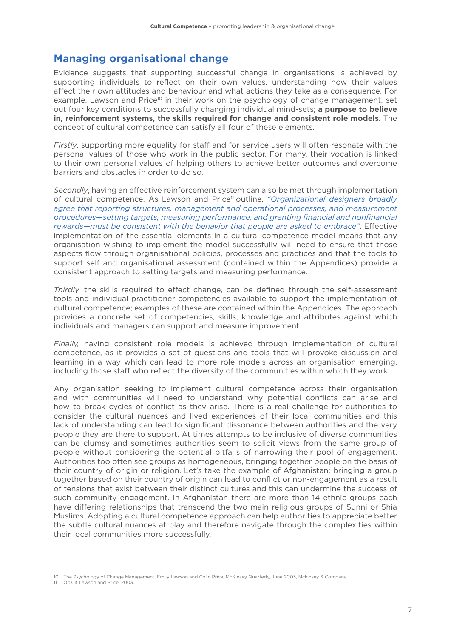#### **Managing organisational change**

Evidence suggests that supporting successful change in organisations is achieved by supporting individuals to reflect on their own values, understanding how their values affect their own attitudes and behaviour and what actions they take as a consequence. For example, Lawson and Price<sup>10</sup> in their work on the psychology of change management, set out four key conditions to successfully changing individual mind-sets; **a purpose to believe in, reinforcement systems, the skills required for change and consistent role models**. The concept of cultural competence can satisfy all four of these elements.

*Firstly*, supporting more equality for staff and for service users will often resonate with the personal values of those who work in the public sector. For many, their vocation is linked to their own personal values of helping others to achieve better outcomes and overcome barriers and obstacles in order to do so.

*Secondly*, having an effective reinforcement system can also be met through implementation of cultural competence. As Lawson and Price11 outline, *"Organizational designers broadly agree that reporting structures, management and operational processes, and measurement procedures—setting targets, measuring performance, and granting financial and nonfinancial rewards—must be consistent with the behavior that people are asked to embrace"*. Effective implementation of the essential elements in a cultural competence model means that any organisation wishing to implement the model successfully will need to ensure that those aspects flow through organisational policies, processes and practices and that the tools to support self and organisational assessment (contained within the Appendices) provide a consistent approach to setting targets and measuring performance.

*Thirdly,* the skills required to effect change, can be defined through the self-assessment tools and individual practitioner competencies available to support the implementation of cultural competence; examples of these are contained within the Appendices. The approach provides a concrete set of competencies, skills, knowledge and attributes against which individuals and managers can support and measure improvement.

*Finally,* having consistent role models is achieved through implementation of cultural competence, as it provides a set of questions and tools that will provoke discussion and learning in a way which can lead to more role models across an organisation emerging, including those staff who reflect the diversity of the communities within which they work.

Any organisation seeking to implement cultural competence across their organisation and with communities will need to understand why potential conflicts can arise and how to break cycles of conflict as they arise. There is a real challenge for authorities to consider the cultural nuances and lived experiences of their local communities and this lack of understanding can lead to significant dissonance between authorities and the very people they are there to support. At times attempts to be inclusive of diverse communities can be clumsy and sometimes authorities seem to solicit views from the same group of people without considering the potential pitfalls of narrowing their pool of engagement. Authorities too often see groups as homogeneous, bringing together people on the basis of their country of origin or religion. Let's take the example of Afghanistan; bringing a group together based on their country of origin can lead to conflict or non-engagement as a result of tensions that exist between their distinct cultures and this can undermine the success of such community engagement. In Afghanistan there are more than 14 ethnic groups each have differing relationships that transcend the two main religious groups of Sunni or Shia Muslims. Adopting a cultural competence approach can help authorities to appreciate better the subtle cultural nuances at play and therefore navigate through the complexities within their local communities more successfully.

<sup>10</sup> The Psychology of Change Management, Emily Lawson and Colin Price, McKinsey Quarterly, June 2003, Mckinsey & Company.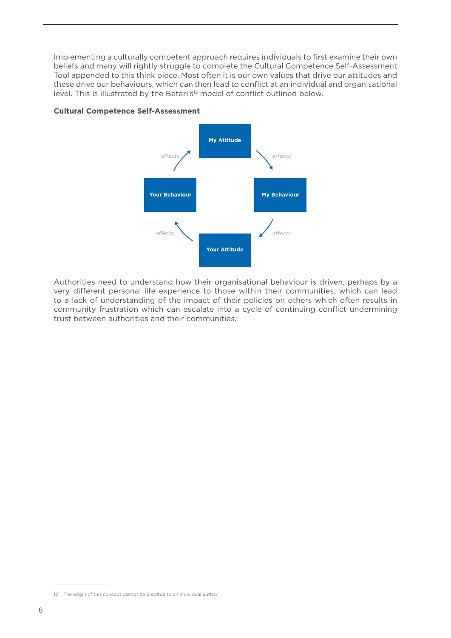Implementing a culturally competent approach requires individuals to first examine their own beliefs and many will rightly struggle to complete the Cultural Competence Self-Assessment Tool appended to this think piece. Most often it is our own values that drive our attitudes and these drive our behaviours, which can then lead to conflict at an individual and organisational level. This is illustrated by the Betari's<sup>12</sup> model of conflict outlined below.





Authorities need to understand how their organisational behaviour is driven, perhaps by a very different personal life experience to those within their communities, which can lead to a lack of understanding of the impact of their policies on others which often results in community frustration which can escalate into a cycle of continuing conflict undermining trust between authorities and their communities.

<sup>12</sup> The origin of this concept cannot be credited to an individual author.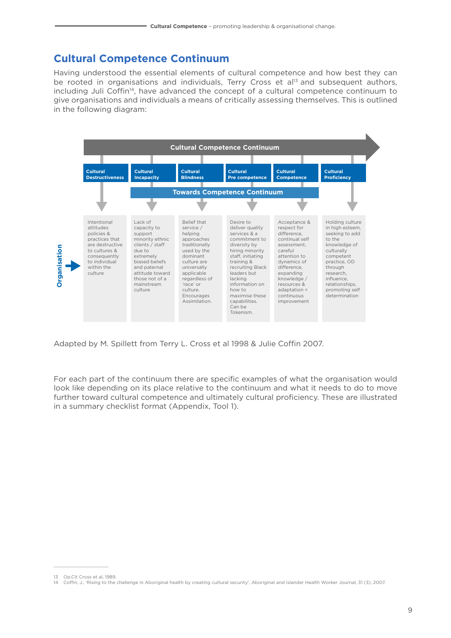#### **Cultural Competence Continuum**

Having understood the essential elements of cultural competence and how best they can be rooted in organisations and individuals, Terry Cross et al<sup>13</sup> and subsequent authors, including Juli Coffin<sup>14</sup>, have advanced the concept of a cultural competence continuum to give organisations and individuals a means of critically assessing themselves. This is outlined in the following diagram:



Adapted by M. Spillett from Terry L. Cross et al 1998 & Julie Coffin 2007.

For each part of the continuum there are specific examples of what the organisation would look like depending on its place relative to the continuum and what it needs to do to move further toward cultural competence and ultimately cultural proficiency. These are illustrated in a summary checklist format (Appendix, Tool 1).

<sup>13</sup> Op.Cit Cross et al, 1989. 14 Coffin, J., 'Rising to the challenge in Aboriginal health by creating cultural security', Aboriginal and Islander Health Worker Journal, 31 (3), 2007.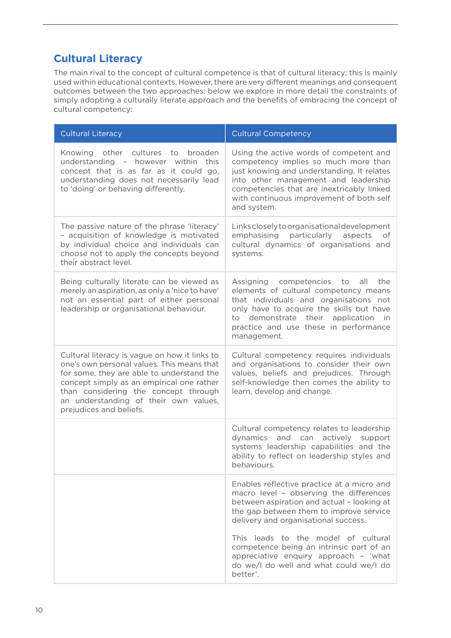#### **Cultural Literacy**

The main rival to the concept of cultural competence is that of cultural literacy; this is mainly used within educational contexts. However, there are very different meanings and consequent outcomes between the two approaches; below we explore in more detail the constraints of simply adopting a culturally literate approach and the benefits of embracing the concept of cultural competency:

| <b>Cultural Literacy</b>                                                                                                                                                                                                                                                                          | <b>Cultural Competency</b>                                                                                                                                                                                                                                                                                                                                                                               |
|---------------------------------------------------------------------------------------------------------------------------------------------------------------------------------------------------------------------------------------------------------------------------------------------------|----------------------------------------------------------------------------------------------------------------------------------------------------------------------------------------------------------------------------------------------------------------------------------------------------------------------------------------------------------------------------------------------------------|
| other cultures<br>to broaden<br>Knowing<br>understanding - however within this<br>concept that is as far as it could go,<br>understanding does not necessarily lead<br>to 'doing' or behaving differently.                                                                                        | Using the active words of competent and<br>competency implies so much more than<br>just knowing and understanding. It relates<br>into other management and leadership<br>competencies that are inextricably linked<br>with continuous improvement of both self<br>and system.                                                                                                                            |
| The passive nature of the phrase 'literacy'<br>- acquisition of knowledge is motivated<br>by individual choice and individuals can<br>choose not to apply the concepts beyond<br>their abstract level.                                                                                            | Links closely to organisational development<br>emphasising<br>particularly<br>aspects<br>of<br>cultural dynamics of organisations and<br>systems.                                                                                                                                                                                                                                                        |
| Being culturally literate can be viewed as<br>merely an aspiration, as only a 'nice to have'<br>not an essential part of either personal<br>leadership or organisational behaviour.                                                                                                               | Assigning competencies to<br>the<br>all<br>elements of cultural competency means<br>that individuals and organisations not<br>only have to acquire the skills but have<br>application in<br>demonstrate their<br>to<br>practice and use these in performance<br>management.                                                                                                                              |
| Cultural literacy is vague on how it links to<br>one's own personal values. This means that<br>for some, they are able to understand the<br>concept simply as an empirical one rather<br>than considering the concept through<br>an understanding of their own values,<br>prejudices and beliefs. | Cultural competency requires individuals<br>and organisations to consider their own<br>values, beliefs and prejudices. Through<br>self-knowledge then comes the ability to<br>learn, develop and change.                                                                                                                                                                                                 |
|                                                                                                                                                                                                                                                                                                   | Cultural competency relates to leadership<br>dynamics and can actively support<br>systems leadership capabilities and the<br>ability to reflect on leadership styles and<br>behaviours.                                                                                                                                                                                                                  |
|                                                                                                                                                                                                                                                                                                   | Enables reflective practice at a micro and<br>macro level - observing the differences<br>between aspiration and actual - looking at<br>the gap between them to improve service<br>delivery and organisational success.<br>This leads to the model of cultural<br>competence being an intrinsic part of an<br>appreciative enquiry approach - 'what<br>do we/I do well and what could we/I do<br>better'. |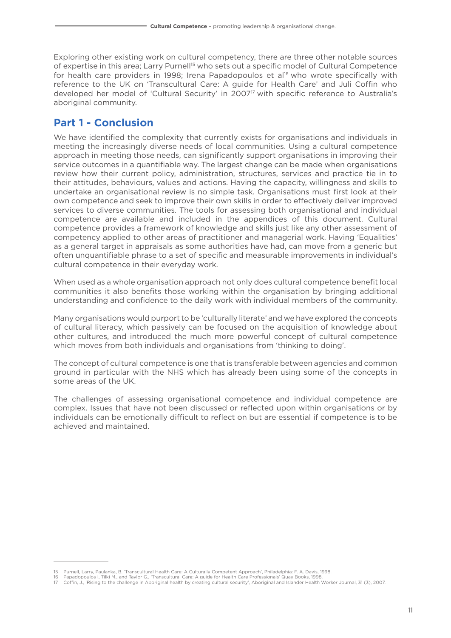Exploring other existing work on cultural competency, there are three other notable sources of expertise in this area; Larry Purnell<sup>15</sup> who sets out a specific model of Cultural Competence for health care providers in 1998; Irena Papadopoulos et al<sup>16</sup> who wrote specifically with reference to the UK on 'Transcultural Care: A guide for Health Care' and Juli Coffin who developed her model of 'Cultural Security' in 2007<sup>17</sup> with specific reference to Australia's aboriginal community.

#### **Part 1 - Conclusion**

We have identified the complexity that currently exists for organisations and individuals in meeting the increasingly diverse needs of local communities. Using a cultural competence approach in meeting those needs, can significantly support organisations in improving their service outcomes in a quantifiable way. The largest change can be made when organisations review how their current policy, administration, structures, services and practice tie in to their attitudes, behaviours, values and actions. Having the capacity, willingness and skills to undertake an organisational review is no simple task. Organisations must first look at their own competence and seek to improve their own skills in order to effectively deliver improved services to diverse communities. The tools for assessing both organisational and individual competence are available and included in the appendices of this document. Cultural competence provides a framework of knowledge and skills just like any other assessment of competency applied to other areas of practitioner and managerial work. Having 'Equalities' as a general target in appraisals as some authorities have had, can move from a generic but often unquantifiable phrase to a set of specific and measurable improvements in individual's cultural competence in their everyday work.

When used as a whole organisation approach not only does cultural competence benefit local communities it also benefits those working within the organisation by bringing additional understanding and confidence to the daily work with individual members of the community.

Many organisations would purport to be 'culturally literate' and we have explored the concepts of cultural literacy, which passively can be focused on the acquisition of knowledge about other cultures, and introduced the much more powerful concept of cultural competence which moves from both individuals and organisations from 'thinking to doing'.

The concept of cultural competence is one that is transferable between agencies and common ground in particular with the NHS which has already been using some of the concepts in some areas of the UK.

The challenges of assessing organisational competence and individual competence are complex. Issues that have not been discussed or reflected upon within organisations or by individuals can be emotionally difficult to reflect on but are essential if competence is to be achieved and maintained.

<sup>15</sup> Purnell, Larry, Paulanka, B. 'Transcultural Health Care: A Culturally Competent Approach', Philadelphia: F. A. Davis, 1998.

<sup>16</sup> Papadopoulos I, Tilki M., and Taylor G., 'Transcultural Care: A guide for Health Care Professionals' Quay Books, 1998.

<sup>17</sup> Coffin, J., 'Rising to the challenge in Aboriginal health by creating cultural security', Aboriginal and Islander Health Worker Journal, 31 (3), 2007.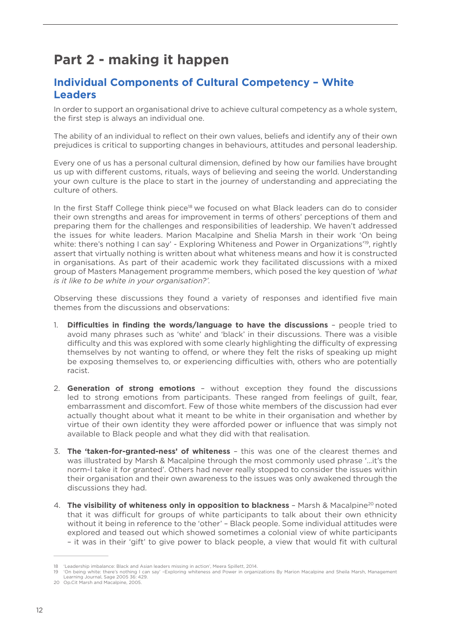## **Part 2 - making it happen**

#### **Individual Components of Cultural Competency – White Leaders**

In order to support an organisational drive to achieve cultural competency as a whole system, the first step is always an individual one.

The ability of an individual to reflect on their own values, beliefs and identify any of their own prejudices is critical to supporting changes in behaviours, attitudes and personal leadership.

Every one of us has a personal cultural dimension, defined by how our families have brought us up with different customs, rituals, ways of believing and seeing the world. Understanding your own culture is the place to start in the journey of understanding and appreciating the culture of others.

In the first Staff College think piece<sup>18</sup> we focused on what Black leaders can do to consider their own strengths and areas for improvement in terms of others' perceptions of them and preparing them for the challenges and responsibilities of leadership. We haven't addressed the issues for white leaders. Marion Macalpine and Shelia Marsh in their work 'On being white: there's nothing I can say' - Exploring Whiteness and Power in Organizations<sup>19</sup>, rightly assert that virtually nothing is written about what whiteness means and how it is constructed in organisations. As part of their academic work they facilitated discussions with a mixed group of Masters Management programme members, which posed the key question of *'what is it like to be white in your organisation?'.*

Observing these discussions they found a variety of responses and identified five main themes from the discussions and observations:

- 1. **Difficulties in finding the words/language to have the discussions** people tried to avoid many phrases such as 'white' and 'black' in their discussions. There was a visible difficulty and this was explored with some clearly highlighting the difficulty of expressing themselves by not wanting to offend, or where they felt the risks of speaking up might be exposing themselves to, or experiencing difficulties with, others who are potentially racist.
- 2. **Generation of strong emotions** without exception they found the discussions led to strong emotions from participants. These ranged from feelings of guilt, fear, embarrassment and discomfort. Few of those white members of the discussion had ever actually thought about what it meant to be white in their organisation and whether by virtue of their own identity they were afforded power or influence that was simply not available to Black people and what they did with that realisation.
- 3. **The 'taken-for-granted-ness' of whiteness** this was one of the clearest themes and was illustrated by Marsh & Macalpine through the most commonly used phrase '…it's the norm-I take it for granted'. Others had never really stopped to consider the issues within their organisation and their own awareness to the issues was only awakened through the discussions they had.
- 4. **The visibility of whiteness only in opposition to blackness** Marsh & Macalpine<sup>20</sup> noted that it was difficult for groups of white participants to talk about their own ethnicity without it being in reference to the 'other' – Black people. Some individual attitudes were explored and teased out which showed sometimes a colonial view of white participants – it was in their 'gift' to give power to black people, a view that would fit with cultural

<sup>18</sup> 'Leadership imbalance: Black and Asian leaders missing in action', Meera Spillett, 2014.

<sup>19</sup> 'On being white: there's nothing I can say' –Exploring whiteness and Power in organizations By Marion Macalpine and Sheila Marsh, Management Learning Journal, Sage 2005 36: 429.

<sup>20</sup> Op.Cit Marsh and Macalpine, 2005.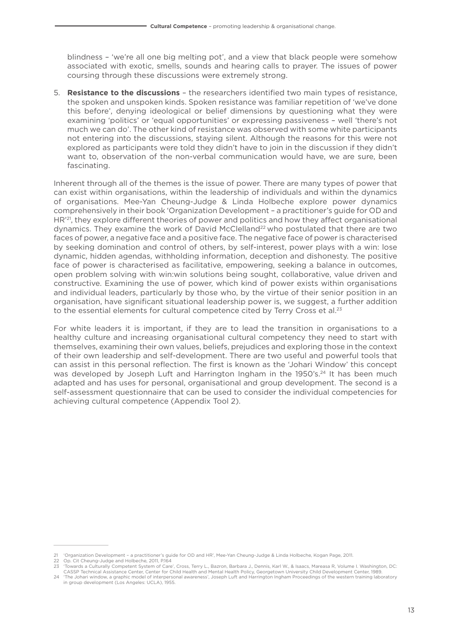blindness – 'we're all one big melting pot', and a view that black people were somehow associated with exotic, smells, sounds and hearing calls to prayer. The issues of power coursing through these discussions were extremely strong.

5. **Resistance to the discussions** – the researchers identified two main types of resistance, the spoken and unspoken kinds. Spoken resistance was familiar repetition of 'we've done this before', denying ideological or belief dimensions by questioning what they were examining 'politics' or 'equal opportunities' or expressing passiveness – well 'there's not much we can do'. The other kind of resistance was observed with some white participants not entering into the discussions, staying silent. Although the reasons for this were not explored as participants were told they didn't have to join in the discussion if they didn't want to, observation of the non-verbal communication would have, we are sure, been fascinating.

Inherent through all of the themes is the issue of power. There are many types of power that can exist within organisations, within the leadership of individuals and within the dynamics of organisations. Mee-Yan Cheung-Judge & Linda Holbeche explore power dynamics comprehensively in their book 'Organization Development – a practitioner's guide for OD and HR<sup>'21</sup>, they explore different theories of power and politics and how they affect organisational dynamics. They examine the work of David McClelland<sup>22</sup> who postulated that there are two faces of power, a negative face and a positive face. The negative face of power is characterised by seeking domination and control of others, by self-interest, power plays with a win: lose dynamic, hidden agendas, withholding information, deception and dishonesty. The positive face of power is characterised as facilitative, empowering, seeking a balance in outcomes, open problem solving with win:win solutions being sought, collaborative, value driven and constructive. Examining the use of power, which kind of power exists within organisations and individual leaders, particularly by those who, by the virtue of their senior position in an organisation, have significant situational leadership power is, we suggest, a further addition to the essential elements for cultural competence cited by Terry Cross et al.<sup>23</sup>

For white leaders it is important, if they are to lead the transition in organisations to a healthy culture and increasing organisational cultural competency they need to start with themselves, examining their own values, beliefs, prejudices and exploring those in the context of their own leadership and self-development. There are two useful and powerful tools that can assist in this personal reflection. The first is known as the 'Johari Window' this concept was developed by Joseph Luft and Harrington Ingham in the 1950's.<sup>24</sup> It has been much adapted and has uses for personal, organisational and group development. The second is a self-assessment questionnaire that can be used to consider the individual competencies for achieving cultural competence (Appendix Tool 2).

<sup>21</sup> 'Organization Development – a practitioner's guide for OD and HR', Mee-Yan Cheung-Judge & Linda Holbeche, Kogan Page, 2011.

<sup>22</sup> Op. Cit Cheung-Judge and Holbeche, 2011, P.164

<sup>23</sup> 'Towards a Culturally Competent System of Care', Cross, Terry L., Bazron, Barbara J., Dennis, Karl W., & Isaacs, Mareasa R, Volume I. Washington, DC:

CASSP Technical Assistance Center, Center for Child Health and Mental Health Policy, Georgetown University Child Development Center, 1989. 24 'The Johari window, a graphic model of interpersonal awareness', Joseph Luft and Harrington Ingham Proceedings of the western training laboratory in group development (Los Angeles: UCLA), 1955.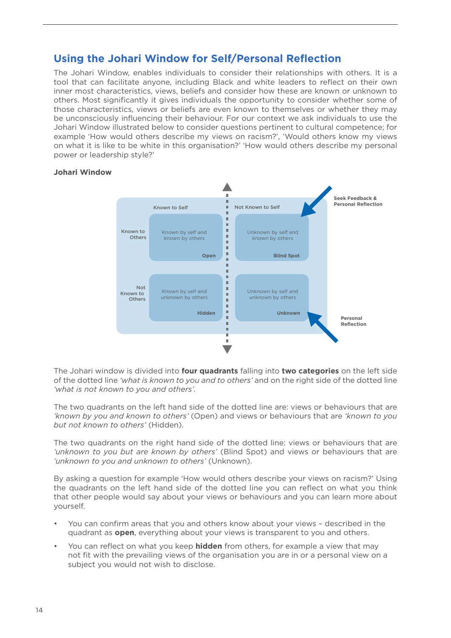#### **Using the Johari Window for Self/Personal Reflection**

The Johari Window, enables individuals to consider their relationships with others. It is a tool that can facilitate anyone, including Black and white leaders to reflect on their own inner most characteristics, views, beliefs and consider how these are known or unknown to others. Most significantly it gives individuals the opportunity to consider whether some of those characteristics, views or beliefs are even known to themselves or whether they may be unconsciously influencing their behaviour. For our context we ask individuals to use the Johari Window illustrated below to consider questions pertinent to cultural competence; for example 'How would others describe my views on racism?', 'Would others know my views on what it is like to be white in this organisation?' 'How would others describe my personal power or leadership style?'

#### **Johari Window**



The Johari window is divided into **four quadrants** falling into **two categories** on the left side of the dotted line *'what is known to you and to others'* and on the right side of the dotted line *'what is not known to you and others'.*

The two quadrants on the left hand side of the dotted line are: views or behaviours that are *'known by you and known to others'* (Open) and views or behaviours that are *'known to you but not known to others'* (Hidden).

The two quadrants on the right hand side of the dotted line: views or behaviours that are *'unknown to you but are known by others'* (Blind Spot) and views or behaviours that are *'unknown to you and unknown to others'* (Unknown).

By asking a question for example 'How would others describe your views on racism?' Using the quadrants on the left hand side of the dotted line you can reflect on what you think that other people would say about your views or behaviours and you can learn more about yourself.

- You can confirm areas that you and others know about your views described in the quadrant as **open**, everything about your views is transparent to you and others.
- You can reflect on what you keep **hidden** from others, for example a view that may not fit with the prevailing views of the organisation you are in or a personal view on a subject you would not wish to disclose.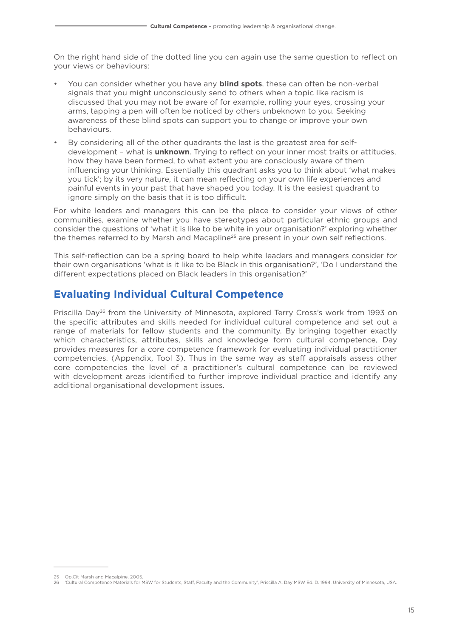On the right hand side of the dotted line you can again use the same question to reflect on your views or behaviours:

- You can consider whether you have any **blind spots**, these can often be non-verbal signals that you might unconsciously send to others when a topic like racism is discussed that you may not be aware of for example, rolling your eyes, crossing your arms, tapping a pen will often be noticed by others unbeknown to you. Seeking awareness of these blind spots can support you to change or improve your own behaviours.
- By considering all of the other quadrants the last is the greatest area for selfdevelopment – what is **unknown**. Trying to reflect on your inner most traits or attitudes, how they have been formed, to what extent you are consciously aware of them influencing your thinking. Essentially this quadrant asks you to think about 'what makes you tick'; by its very nature, it can mean reflecting on your own life experiences and painful events in your past that have shaped you today. It is the easiest quadrant to ignore simply on the basis that it is too difficult.

For white leaders and managers this can be the place to consider your views of other communities, examine whether you have stereotypes about particular ethnic groups and consider the questions of 'what it is like to be white in your organisation?' exploring whether the themes referred to by Marsh and Macapline<sup>25</sup> are present in your own self reflections.

This self-reflection can be a spring board to help white leaders and managers consider for their own organisations 'what is it like to be Black in this organisation?', 'Do I understand the different expectations placed on Black leaders in this organisation?'

#### **Evaluating Individual Cultural Competence**

Priscilla Day26 from the University of Minnesota, explored Terry Cross's work from 1993 on the specific attributes and skills needed for individual cultural competence and set out a range of materials for fellow students and the community. By bringing together exactly which characteristics, attributes, skills and knowledge form cultural competence, Day provides measures for a core competence framework for evaluating individual practitioner competencies. (Appendix, Tool 3). Thus in the same way as staff appraisals assess other core competencies the level of a practitioner's cultural competence can be reviewed with development areas identified to further improve individual practice and identify any additional organisational development issues.

<sup>25</sup> Op.Cit Marsh and Macalpine, 2005. 26 'Cultural Competence Materials for MSW for Students, Staff, Faculty and the Community', Priscilla A. Day MSW Ed. D. 1994, University of Minnesota, USA.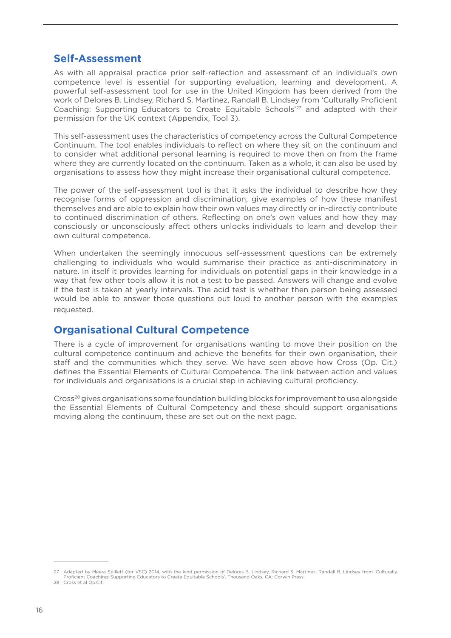#### **Self-Assessment**

As with all appraisal practice prior self-reflection and assessment of an individual's own competence level is essential for supporting evaluation, learning and development. A powerful self-assessment tool for use in the United Kingdom has been derived from the work of Delores B. Lindsey, Richard S. Martinez, Randall B. Lindsey from 'Culturally Proficient Coaching: Supporting Educators to Create Equitable Schools<sup>'27</sup> and adapted with their permission for the UK context (Appendix, Tool 3).

This self-assessment uses the characteristics of competency across the Cultural Competence Continuum. The tool enables individuals to reflect on where they sit on the continuum and to consider what additional personal learning is required to move then on from the frame where they are currently located on the continuum. Taken as a whole, it can also be used by organisations to assess how they might increase their organisational cultural competence.

The power of the self-assessment tool is that it asks the individual to describe how they recognise forms of oppression and discrimination, give examples of how these manifest themselves and are able to explain how their own values may directly or in-directly contribute to continued discrimination of others. Reflecting on one's own values and how they may consciously or unconsciously affect others unlocks individuals to learn and develop their own cultural competence.

When undertaken the seemingly innocuous self-assessment questions can be extremely challenging to individuals who would summarise their practice as anti-discriminatory in nature. In itself it provides learning for individuals on potential gaps in their knowledge in a way that few other tools allow it is not a test to be passed. Answers will change and evolve if the test is taken at yearly intervals. The acid test is whether then person being assessed would be able to answer those questions out loud to another person with the examples requested.

#### **Organisational Cultural Competence**

There is a cycle of improvement for organisations wanting to move their position on the cultural competence continuum and achieve the benefits for their own organisation, their staff and the communities which they serve. We have seen above how Cross (Op. Cit.) defines the Essential Elements of Cultural Competence. The link between action and values for individuals and organisations is a crucial step in achieving cultural proficiency.

Cross28 gives organisations some foundation building blocks for improvement to use alongside the Essential Elements of Cultural Competency and these should support organisations moving along the continuum, these are set out on the next page.

<sup>27</sup> Adapted by Meera Spillett (for VSC) 2014, with the kind permission of Delores B. Lindsey, Richard S. Martinez, Randall B. Lindsey from 'Culturally Proficient Coaching: Supporting Educators to Create Equitable Schools'. Thousand Oaks, CA: Corwin Press.

<sup>28</sup> Cross et al Op.Cit.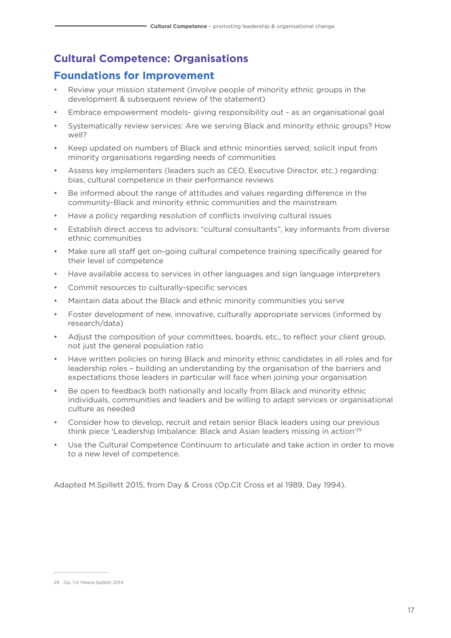#### **Cultural Competence: Organisations**

#### **Foundations for Improvement**

- Review vour mission statement (involve people of minority ethnic groups in the development & subsequent review of the statement)
- Embrace empowerment models- giving responsibility out as an organisational goal
- Systematically review services: Are we serving Black and minority ethnic groups? How well?
- Keep updated on numbers of Black and ethnic minorities served; solicit input from minority organisations regarding needs of communities
- Assess key implementers (leaders such as CEO, Executive Director, etc.) regarding: bias, cultural competence in their performance reviews
- Be informed about the range of attitudes and values regarding difference in the community-Black and minority ethnic communities and the mainstream
- Have a policy regarding resolution of conflicts involving cultural issues
- Establish direct access to advisors: "cultural consultants", key informants from diverse ethnic communities
- Make sure all staff get on-going cultural competence training specifically geared for their level of competence
- Have available access to services in other languages and sign language interpreters
- Commit resources to culturally-specific services
- Maintain data about the Black and ethnic minority communities you serve
- Foster development of new, innovative, culturally appropriate services (informed by research/data)
- Adjust the composition of your committees, boards, etc., to reflect your client group, not just the general population ratio
- Have written policies on hiring Black and minority ethnic candidates in all roles and for leadership roles – building an understanding by the organisation of the barriers and expectations those leaders in particular will face when joining your organisation
- Be open to feedback both nationally and locally from Black and minority ethnic individuals, communities and leaders and be willing to adapt services or organisational culture as needed
- Consider how to develop, recruit and retain senior Black leaders using our previous think piece 'Leadership Imbalance: Black and Asian leaders missing in action'29
- Use the Cultural Competence Continuum to articulate and take action in order to move to a new level of competence.

Adapted M.Spillett 2015, from Day & Cross (Op.Cit Cross et al 1989, Day 1994).

<sup>29</sup> Op. Cit Meera Spillett 2014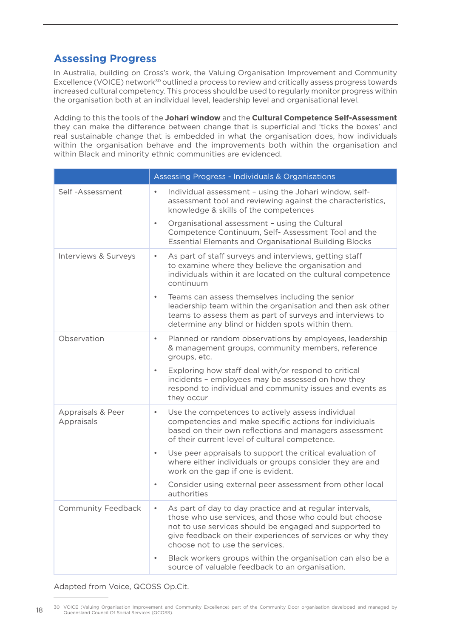#### **Assessing Progress**

In Australia, building on Cross's work, the Valuing Organisation Improvement and Community Excellence (VOICE) network<sup>30</sup> outlined a process to review and critically assess progress towards increased cultural competency. This process should be used to regularly monitor progress within the organisation both at an individual level, leadership level and organisational level.

Adding to this the tools of the **Johari window** and the **Cultural Competence Self-Assessment** they can make the difference between change that is superficial and 'ticks the boxes' and real sustainable change that is embedded in what the organisation does, how individuals within the organisation behave and the improvements both within the organisation and within Black and minority ethnic communities are evidenced.

|                                 | Assessing Progress - Individuals & Organisations                                                                                                                                                                                                                              |
|---------------------------------|-------------------------------------------------------------------------------------------------------------------------------------------------------------------------------------------------------------------------------------------------------------------------------|
| Self-Assessment                 | Individual assessment - using the Johari window, self-<br>$\bullet$<br>assessment tool and reviewing against the characteristics,<br>knowledge & skills of the competences                                                                                                    |
|                                 | Organisational assessment - using the Cultural<br>$\bullet$<br>Competence Continuum, Self- Assessment Tool and the<br><b>Essential Elements and Organisational Building Blocks</b>                                                                                            |
| Interviews & Surveys            | As part of staff surveys and interviews, getting staff<br>٠<br>to examine where they believe the organisation and<br>individuals within it are located on the cultural competence<br>continuum                                                                                |
|                                 | Teams can assess themselves including the senior<br>$\bullet$<br>leadership team within the organisation and then ask other<br>teams to assess them as part of surveys and interviews to<br>determine any blind or hidden spots within them.                                  |
| Observation                     | Planned or random observations by employees, leadership<br>$\bullet$<br>& management groups, community members, reference<br>groups, etc.                                                                                                                                     |
|                                 | Exploring how staff deal with/or respond to critical<br>$\bullet$<br>incidents - employees may be assessed on how they<br>respond to individual and community issues and events as<br>they occur                                                                              |
| Appraisals & Peer<br>Appraisals | Use the competences to actively assess individual<br>$\bullet$<br>competencies and make specific actions for individuals<br>based on their own reflections and managers assessment<br>of their current level of cultural competence.                                          |
|                                 | Use peer appraisals to support the critical evaluation of<br>٠<br>where either individuals or groups consider they are and<br>work on the gap if one is evident.                                                                                                              |
|                                 | Consider using external peer assessment from other local<br>$\bullet$<br>authorities                                                                                                                                                                                          |
| Community Feedback              | As part of day to day practice and at regular intervals,<br>those who use services, and those who could but choose<br>not to use services should be engaged and supported to<br>give feedback on their experiences of services or why they<br>choose not to use the services. |
|                                 | Black workers groups within the organisation can also be a<br>$\bullet$<br>source of valuable feedback to an organisation.                                                                                                                                                    |

Adapted from Voice, QCOSS Op.Cit.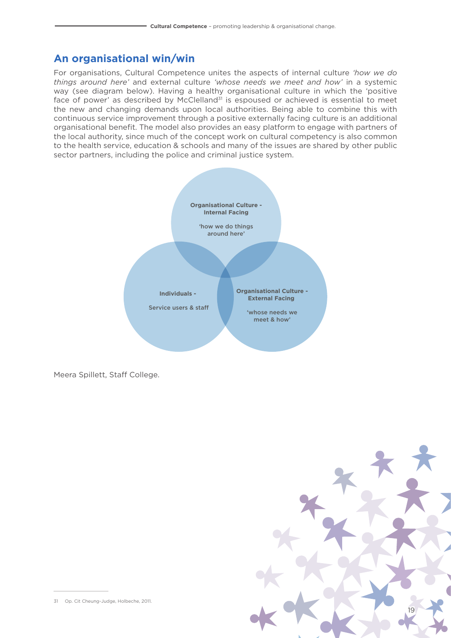#### **An organisational win/win**

For organisations, Cultural Competence unites the aspects of internal culture *'how we do things around here'* and external culture *'whose needs we meet and how'* in a systemic way (see diagram below). Having a healthy organisational culture in which the 'positive face of power' as described by McClelland $31$  is espoused or achieved is essential to meet the new and changing demands upon local authorities. Being able to combine this with continuous service improvement through a positive externally facing culture is an additional organisational benefit. The model also provides an easy platform to engage with partners of the local authority, since much of the concept work on cultural competency is also common to the health service, education & schools and many of the issues are shared by other public sector partners, including the police and criminal justice system.



Meera Spillett, Staff College.



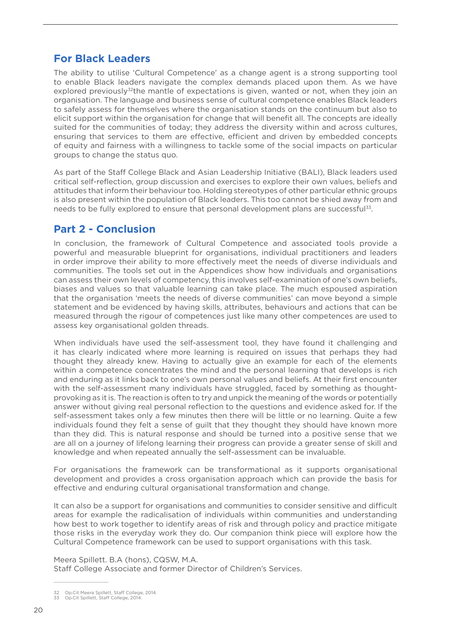#### **For Black Leaders**

The ability to utilise 'Cultural Competence' as a change agent is a strong supporting tool to enable Black leaders navigate the complex demands placed upon them. As we have explored previously $32$ <sup>the</sup> mantle of expectations is given, wanted or not, when they join an organisation. The language and business sense of cultural competence enables Black leaders to safely assess for themselves where the organisation stands on the continuum but also to elicit support within the organisation for change that will benefit all. The concepts are ideally suited for the communities of today; they address the diversity within and across cultures, ensuring that services to them are effective, efficient and driven by embedded concepts of equity and fairness with a willingness to tackle some of the social impacts on particular groups to change the status quo.

As part of the Staff College Black and Asian Leadership Initiative (BALI), Black leaders used critical self-reflection, group discussion and exercises to explore their own values, beliefs and attitudes that inform their behaviour too. Holding stereotypes of other particular ethnic groups is also present within the population of Black leaders. This too cannot be shied away from and needs to be fully explored to ensure that personal development plans are successful33.

#### **Part 2 - Conclusion**

In conclusion, the framework of Cultural Competence and associated tools provide a powerful and measurable blueprint for organisations, individual practitioners and leaders in order improve their ability to more effectively meet the needs of diverse individuals and communities. The tools set out in the Appendices show how individuals and organisations can assess their own levels of competency, this involves self-examination of one's own beliefs, biases and values so that valuable learning can take place. The much espoused aspiration that the organisation 'meets the needs of diverse communities' can move beyond a simple statement and be evidenced by having skills, attributes, behaviours and actions that can be measured through the rigour of competences just like many other competences are used to assess key organisational golden threads.

When individuals have used the self-assessment tool, they have found it challenging and it has clearly indicated where more learning is required on issues that perhaps they had thought they already knew. Having to actually give an example for each of the elements within a competence concentrates the mind and the personal learning that develops is rich and enduring as it links back to one's own personal values and beliefs. At their first encounter with the self-assessment many individuals have struggled, faced by something as thoughtprovoking as it is. The reaction is often to try and unpick the meaning of the words or potentially answer without giving real personal reflection to the questions and evidence asked for. If the self-assessment takes only a few minutes then there will be little or no learning. Quite a few individuals found they felt a sense of guilt that they thought they should have known more than they did. This is natural response and should be turned into a positive sense that we are all on a journey of lifelong learning their progress can provide a greater sense of skill and knowledge and when repeated annually the self-assessment can be invaluable.

For organisations the framework can be transformational as it supports organisational development and provides a cross organisation approach which can provide the basis for effective and enduring cultural organisational transformation and change.

It can also be a support for organisations and communities to consider sensitive and difficult areas for example the radicalisation of individuals within communities and understanding how best to work together to identify areas of risk and through policy and practice mitigate those risks in the everyday work they do. Our companion think piece will explore how the Cultural Competence framework can be used to support organisations with this task.

Meera Spillett. B.A (hons), CQSW, M.A. Staff College Associate and former Director of Children's Services.

<sup>32</sup> Op.Cit Meera Spillett, Staff College, 2014.

<sup>33</sup> Op.Cit Spillett, Staff College, 2014.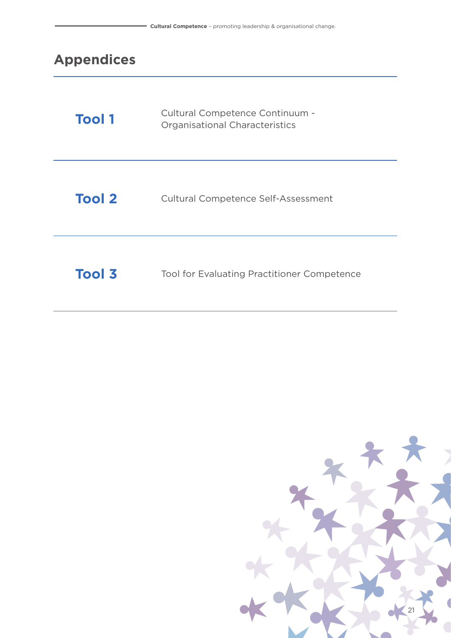# **Appendices**

| <b>Tool 1</b> | Cultural Competence Continuum -<br>Organisational Characteristics |
|---------------|-------------------------------------------------------------------|
| <b>Tool 2</b> | <b>Cultural Competence Self-Assessment</b>                        |
| <b>Tool 3</b> | <b>Tool for Evaluating Practitioner Competence</b>                |

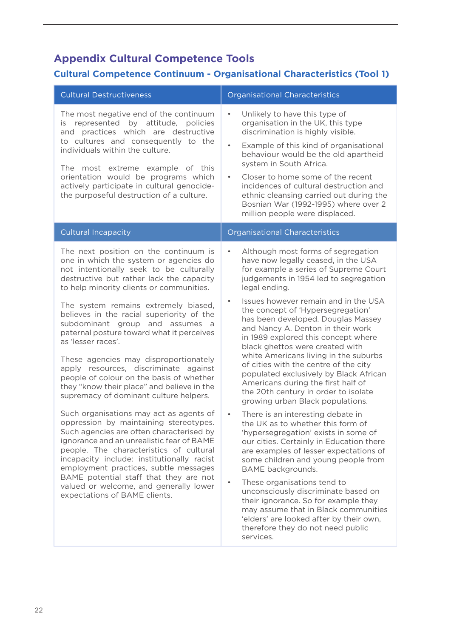#### **Appendix Cultural Competence Tools**

#### **Cultural Competence Continuum - Organisational Characteristics (Tool 1)**

| <b>Cultural Destructiveness</b>                                                                                                                                                                                                                                                                                                                                                                                                                                                                                                                                                                                                     | <b>Organisational Characteristics</b>                                                                                                                                                                                                                                                                                                                                                                                                                                                                                                                                                                                                                                     |
|-------------------------------------------------------------------------------------------------------------------------------------------------------------------------------------------------------------------------------------------------------------------------------------------------------------------------------------------------------------------------------------------------------------------------------------------------------------------------------------------------------------------------------------------------------------------------------------------------------------------------------------|---------------------------------------------------------------------------------------------------------------------------------------------------------------------------------------------------------------------------------------------------------------------------------------------------------------------------------------------------------------------------------------------------------------------------------------------------------------------------------------------------------------------------------------------------------------------------------------------------------------------------------------------------------------------------|
| The most negative end of the continuum<br>represented by attitude, policies<br>is<br>and practices which are destructive<br>to cultures and consequently to the<br>individuals within the culture.<br>The most extreme example of this<br>orientation would be programs which<br>actively participate in cultural genocide-<br>the purposeful destruction of a culture.                                                                                                                                                                                                                                                             | Unlikely to have this type of<br>$\bullet$<br>organisation in the UK, this type<br>discrimination is highly visible.<br>Example of this kind of organisational<br>$\bullet$<br>behaviour would be the old apartheid<br>system in South Africa.<br>Closer to home some of the recent<br>$\bullet$<br>incidences of cultural destruction and<br>ethnic cleansing carried out during the<br>Bosnian War (1992-1995) where over 2<br>million people were displaced.                                                                                                                                                                                                           |
| <b>Cultural Incapacity</b>                                                                                                                                                                                                                                                                                                                                                                                                                                                                                                                                                                                                          | Organisational Characteristics                                                                                                                                                                                                                                                                                                                                                                                                                                                                                                                                                                                                                                            |
| The next position on the continuum is<br>one in which the system or agencies do<br>not intentionally seek to be culturally<br>destructive but rather lack the capacity<br>to help minority clients or communities.<br>The system remains extremely biased,<br>believes in the racial superiority of the<br>subdominant group and assumes a<br>paternal posture toward what it perceives<br>as 'lesser races'.<br>These agencies may disproportionately<br>apply resources, discriminate against<br>people of colour on the basis of whether<br>they "know their place" and believe in the<br>supremacy of dominant culture helpers. | Although most forms of segregation<br>$\bullet$<br>have now legally ceased, in the USA<br>for example a series of Supreme Court<br>judgements in 1954 led to segregation<br>legal ending.<br>Issues however remain and in the USA<br>the concept of 'Hypersegregation'<br>has been developed. Douglas Massey<br>and Nancy A. Denton in their work<br>in 1989 explored this concept where<br>black ghettos were created with<br>white Americans living in the suburbs<br>of cities with the centre of the city<br>populated exclusively by Black African<br>Americans during the first half of<br>the 20th century in order to isolate<br>growing urban Black populations. |
| Such organisations may act as agents of<br>oppression by maintaining stereotypes.<br>Such agencies are often characterised by<br>ignorance and an unrealistic fear of BAME<br>people. The characteristics of cultural<br>incapacity include: institutionally racist<br>employment practices, subtle messages<br>BAME potential staff that they are not<br>valued or welcome, and generally lower<br>expectations of BAME clients.                                                                                                                                                                                                   | There is an interesting debate in<br>$\bullet$<br>the UK as to whether this form of<br>'hypersegregation' exists in some of<br>our cities. Certainly in Education there<br>are examples of lesser expectations of<br>some children and young people from<br>BAME backgrounds.<br>These organisations tend to<br>$\bullet$<br>unconsciously discriminate based on<br>their ignorance. So for example they<br>may assume that in Black communities<br>'elders' are looked after by their own,<br>therefore they do not need public<br>services.                                                                                                                             |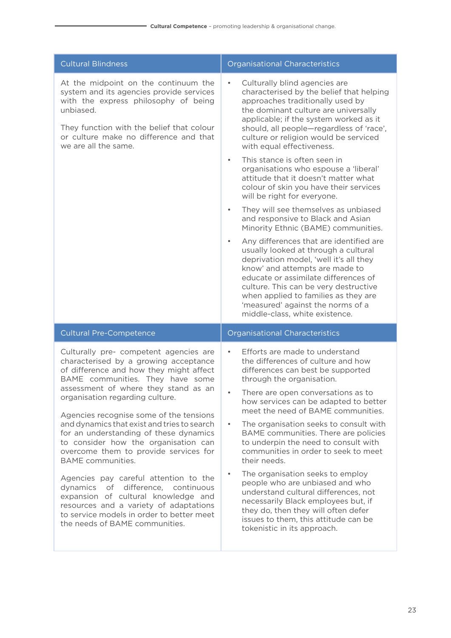| <b>Cultural Blindness</b>                                                                                                                                                                                                                                                                                                                                                                                                                                      | <b>Organisational Characteristics</b>                                                                                                                                                                                                                                                                                                                                                                                                                   |
|----------------------------------------------------------------------------------------------------------------------------------------------------------------------------------------------------------------------------------------------------------------------------------------------------------------------------------------------------------------------------------------------------------------------------------------------------------------|---------------------------------------------------------------------------------------------------------------------------------------------------------------------------------------------------------------------------------------------------------------------------------------------------------------------------------------------------------------------------------------------------------------------------------------------------------|
| At the midpoint on the continuum the<br>system and its agencies provide services<br>with the express philosophy of being<br>unbiased.<br>They function with the belief that colour<br>or culture make no difference and that<br>we are all the same.                                                                                                                                                                                                           | Culturally blind agencies are<br>$\bullet$<br>characterised by the belief that helping<br>approaches traditionally used by<br>the dominant culture are universally<br>applicable; if the system worked as it<br>should, all people-regardless of 'race',<br>culture or religion would be serviced<br>with equal effectiveness.                                                                                                                          |
|                                                                                                                                                                                                                                                                                                                                                                                                                                                                | This stance is often seen in<br>$\bullet$<br>organisations who espouse a 'liberal'<br>attitude that it doesn't matter what<br>colour of skin you have their services<br>will be right for everyone.                                                                                                                                                                                                                                                     |
|                                                                                                                                                                                                                                                                                                                                                                                                                                                                | They will see themselves as unbiased<br>$\bullet$<br>and responsive to Black and Asian<br>Minority Ethnic (BAME) communities.                                                                                                                                                                                                                                                                                                                           |
|                                                                                                                                                                                                                                                                                                                                                                                                                                                                | Any differences that are identified are<br>$\bullet$<br>usually looked at through a cultural<br>deprivation model, 'well it's all they<br>know' and attempts are made to<br>educate or assimilate differences of<br>culture. This can be very destructive<br>when applied to families as they are<br>'measured' against the norms of a<br>middle-class, white existence.                                                                                |
| <b>Cultural Pre-Competence</b>                                                                                                                                                                                                                                                                                                                                                                                                                                 | <b>Organisational Characteristics</b>                                                                                                                                                                                                                                                                                                                                                                                                                   |
| Culturally pre- competent agencies are<br>characterised by a growing acceptance<br>of difference and how they might affect<br>BAME communities. They have some<br>assessment of where they stand as an<br>organisation regarding culture.<br>Agencies recognise some of the tensions<br>and dynamics that exist and tries to search<br>for an understanding of these dynamics<br>to consider how the organisation can<br>overcome them to provide services for | Efforts are made to understand<br>$\bullet$<br>the differences of culture and how<br>differences can best be supported<br>through the organisation.<br>There are open conversations as to<br>how services can be adapted to better<br>meet the need of BAME communities.<br>The organisation seeks to consult with<br>$\bullet$<br>BAME communities. There are policies<br>to underpin the need to consult with<br>communities in order to seek to meet |
| <b>BAME</b> communities.<br>Agencies pay careful attention to the<br>dynamics<br>of difference, continuous<br>expansion of cultural knowledge and<br>resources and a variety of adaptations<br>to service models in order to better meet<br>the needs of BAME communities.                                                                                                                                                                                     | their needs.<br>The organisation seeks to employ<br>$\bullet$<br>people who are unbiased and who<br>understand cultural differences, not<br>necessarily Black employees but, if<br>they do, then they will often defer<br>issues to them, this attitude can be<br>tokenistic in its approach.                                                                                                                                                           |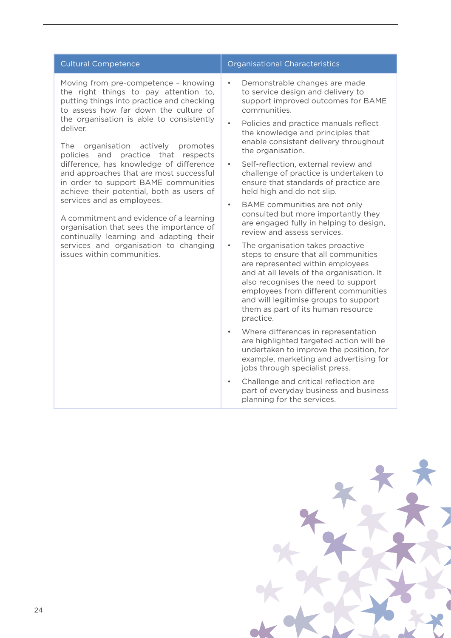| <b>Cultural Competence</b>                                                                                                                                                                                                                                                                                                                                                                                                                                                                                                                                                                                                                                                                                                    | Organisational Characteristics                                                                                                                                                                                                                                                                                                                                                                                                                                                                                                                                                                                                                                                                                                                                                                                                                                                                                                                                 |
|-------------------------------------------------------------------------------------------------------------------------------------------------------------------------------------------------------------------------------------------------------------------------------------------------------------------------------------------------------------------------------------------------------------------------------------------------------------------------------------------------------------------------------------------------------------------------------------------------------------------------------------------------------------------------------------------------------------------------------|----------------------------------------------------------------------------------------------------------------------------------------------------------------------------------------------------------------------------------------------------------------------------------------------------------------------------------------------------------------------------------------------------------------------------------------------------------------------------------------------------------------------------------------------------------------------------------------------------------------------------------------------------------------------------------------------------------------------------------------------------------------------------------------------------------------------------------------------------------------------------------------------------------------------------------------------------------------|
| Moving from pre-competence - knowing<br>the right things to pay attention to,<br>putting things into practice and checking<br>to assess how far down the culture of<br>the organisation is able to consistently<br>deliver.<br>The<br>organisation actively promotes<br>policies and practice that respects<br>difference, has knowledge of difference<br>and approaches that are most successful<br>in order to support BAME communities<br>achieve their potential, both as users of<br>services and as employees.<br>A commitment and evidence of a learning<br>organisation that sees the importance of<br>continually learning and adapting their<br>services and organisation to changing<br>issues within communities. | Demonstrable changes are made<br>to service design and delivery to<br>support improved outcomes for BAME<br>communities.<br>Policies and practice manuals reflect<br>the knowledge and principles that<br>enable consistent delivery throughout<br>the organisation.<br>Self-reflection, external review and<br>$\bullet$<br>challenge of practice is undertaken to<br>ensure that standards of practice are<br>held high and do not slip.<br>BAME communities are not only<br>$\bullet$<br>consulted but more importantly they<br>are engaged fully in helping to design,<br>review and assess services.<br>The organisation takes proactive<br>$\bullet$<br>steps to ensure that all communities<br>are represented within employees<br>and at all levels of the organisation. It<br>also recognises the need to support<br>employees from different communities<br>and will legitimise groups to support<br>them as part of its human resource<br>practice. |
|                                                                                                                                                                                                                                                                                                                                                                                                                                                                                                                                                                                                                                                                                                                               | Where differences in representation<br>$\bullet$<br>are highlighted targeted action will be<br>undertaken to improve the position, for<br>example, marketing and advertising for<br>jobs through specialist press.                                                                                                                                                                                                                                                                                                                                                                                                                                                                                                                                                                                                                                                                                                                                             |
|                                                                                                                                                                                                                                                                                                                                                                                                                                                                                                                                                                                                                                                                                                                               | Challenge and critical reflection are<br>$\bullet$<br>part of everyday business and business<br>planning for the services.                                                                                                                                                                                                                                                                                                                                                                                                                                                                                                                                                                                                                                                                                                                                                                                                                                     |

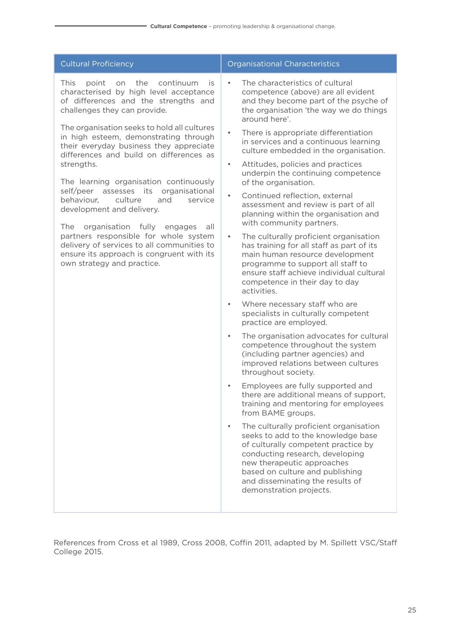| <b>Cultural Proficiency</b>                                                                                                                                                                                                                                                                                                                                                                                                                                                                                                                                                                                                                                                                                                                | <b>Organisational Characteristics</b>                                                                                                                                                                                                                                                                                                                                                                                                                                                                                                                                                                                                                                                                                                                                                                                                                                                                                                                                                                                                                                                                                                                                                                                                                                                                                                                                                                                                                                                                                                                                                                                                             |
|--------------------------------------------------------------------------------------------------------------------------------------------------------------------------------------------------------------------------------------------------------------------------------------------------------------------------------------------------------------------------------------------------------------------------------------------------------------------------------------------------------------------------------------------------------------------------------------------------------------------------------------------------------------------------------------------------------------------------------------------|---------------------------------------------------------------------------------------------------------------------------------------------------------------------------------------------------------------------------------------------------------------------------------------------------------------------------------------------------------------------------------------------------------------------------------------------------------------------------------------------------------------------------------------------------------------------------------------------------------------------------------------------------------------------------------------------------------------------------------------------------------------------------------------------------------------------------------------------------------------------------------------------------------------------------------------------------------------------------------------------------------------------------------------------------------------------------------------------------------------------------------------------------------------------------------------------------------------------------------------------------------------------------------------------------------------------------------------------------------------------------------------------------------------------------------------------------------------------------------------------------------------------------------------------------------------------------------------------------------------------------------------------------|
| This<br>the<br>continuum<br>point<br>on<br>is<br>characterised by high level acceptance<br>of differences and the strengths and<br>challenges they can provide.<br>The organisation seeks to hold all cultures<br>in high esteem, demonstrating through<br>their everyday business they appreciate<br>differences and build on differences as<br>strengths.<br>The learning organisation continuously<br>self/peer<br>assesses its organisational<br>behaviour,<br>culture<br>and<br>service<br>development and delivery.<br>organisation fully<br>The<br>engages<br>all<br>partners responsible for whole system<br>delivery of services to all communities to<br>ensure its approach is congruent with its<br>own strategy and practice. | The characteristics of cultural<br>$\bullet$<br>competence (above) are all evident<br>and they become part of the psyche of<br>the organisation 'the way we do things<br>around here'.<br>There is appropriate differentiation<br>$\bullet$<br>in services and a continuous learning<br>culture embedded in the organisation.<br>Attitudes, policies and practices<br>$\bullet$<br>underpin the continuing competence<br>of the organisation.<br>Continued reflection, external<br>$\bullet$<br>assessment and review is part of all<br>planning within the organisation and<br>with community partners.<br>The culturally proficient organisation<br>$\bullet$<br>has training for all staff as part of its<br>main human resource development<br>programme to support all staff to<br>ensure staff achieve individual cultural<br>competence in their day to day<br>activities.<br>Where necessary staff who are<br>$\bullet$<br>specialists in culturally competent<br>practice are employed.<br>The organisation advocates for cultural<br>$\bullet$<br>competence throughout the system<br>(including partner agencies) and<br>improved relations between cultures<br>throughout society.<br>Employees are fully supported and<br>there are additional means of support,<br>training and mentoring for employees<br>from BAME groups.<br>The culturally proficient organisation<br>$\bullet$<br>seeks to add to the knowledge base<br>of culturally competent practice by<br>conducting research, developing<br>new therapeutic approaches<br>based on culture and publishing<br>and disseminating the results of<br>demonstration projects. |

References from Cross et al 1989, Cross 2008, Coffin 2011, adapted by M. Spillett VSC/Staff College 2015.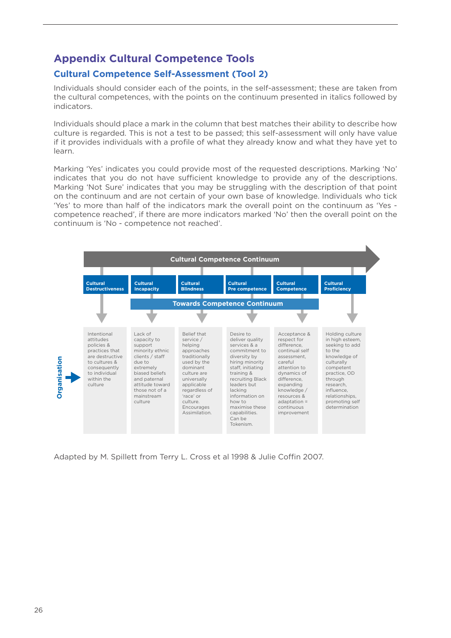#### **Appendix Cultural Competence Tools**

#### **Cultural Competence Self-Assessment (Tool 2)**

Individuals should consider each of the points, in the self-assessment; these are taken from the cultural competences, with the points on the continuum presented in italics followed by indicators.

Individuals should place a mark in the column that best matches their ability to describe how culture is regarded. This is not a test to be passed; this self-assessment will only have value if it provides individuals with a profile of what they already know and what they have yet to learn.

Marking 'Yes' indicates you could provide most of the requested descriptions. Marking 'No' indicates that you do not have sufficient knowledge to provide any of the descriptions. Marking 'Not Sure' indicates that you may be struggling with the description of that point on the continuum and are not certain of your own base of knowledge. Individuals who tick 'Yes' to more than half of the indicators mark the overall point on the continuum as 'Yes competence reached', if there are more indicators marked 'No' then the overall point on the continuum is 'No - competence not reached'.



Adapted by M. Spillett from Terry L. Cross et al 1998 & Julie Coffin 2007.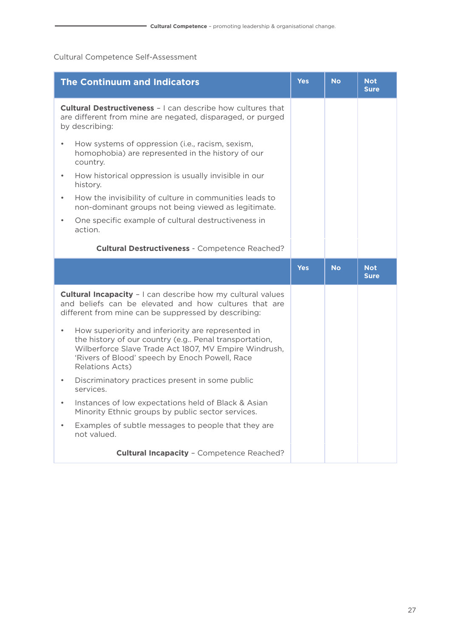#### Cultural Competence Self-Assessment

| <b>The Continuum and Indicators</b>                                                                                                                                                                                                                    | <b>Yes</b> | <b>No</b> | <b>Not</b><br><b>Sure</b> |  |
|--------------------------------------------------------------------------------------------------------------------------------------------------------------------------------------------------------------------------------------------------------|------------|-----------|---------------------------|--|
| <b>Cultural Destructiveness - I can describe how cultures that</b><br>are different from mine are negated, disparaged, or purged<br>by describing:                                                                                                     |            |           |                           |  |
| How systems of oppression (i.e., racism, sexism,<br>homophobia) are represented in the history of our<br>country.                                                                                                                                      |            |           |                           |  |
| How historical oppression is usually invisible in our<br>history.                                                                                                                                                                                      |            |           |                           |  |
| How the invisibility of culture in communities leads to<br>$\bullet$<br>non-dominant groups not being viewed as legitimate.                                                                                                                            |            |           |                           |  |
| One specific example of cultural destructiveness in<br>$\bullet$<br>action.                                                                                                                                                                            |            |           |                           |  |
| <b>Cultural Destructiveness - Competence Reached?</b>                                                                                                                                                                                                  |            |           |                           |  |
|                                                                                                                                                                                                                                                        | <b>Yes</b> | <b>No</b> | <b>Not</b><br><b>Sure</b> |  |
| <b>Cultural Incapacity - I</b> can describe how my cultural values<br>and beliefs can be elevated and how cultures that are<br>different from mine can be suppressed by describing:                                                                    |            |           |                           |  |
| How superiority and inferiority are represented in<br>$\bullet$<br>the history of our country (e.g Penal transportation,<br>Wilberforce Slave Trade Act 1807, MV Empire Windrush,<br>'Rivers of Blood' speech by Enoch Powell, Race<br>Relations Acts) |            |           |                           |  |
| Discriminatory practices present in some public                                                                                                                                                                                                        |            |           |                           |  |
| services.                                                                                                                                                                                                                                              |            |           |                           |  |
| Instances of low expectations held of Black & Asian<br>$\bullet$<br>Minority Ethnic groups by public sector services.                                                                                                                                  |            |           |                           |  |
| Examples of subtle messages to people that they are<br>$\bullet$<br>not valued.                                                                                                                                                                        |            |           |                           |  |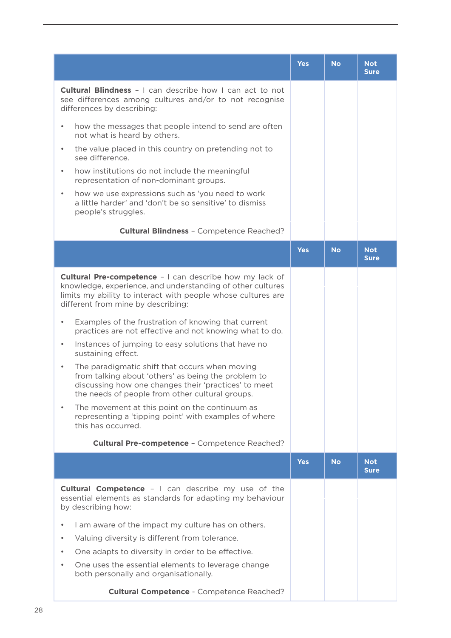|                                                                                                                                                                                                                                    | <b>Yes</b> | <b>No</b> | <b>Not</b><br><b>Sure</b> |
|------------------------------------------------------------------------------------------------------------------------------------------------------------------------------------------------------------------------------------|------------|-----------|---------------------------|
| <b>Cultural Blindness</b> - I can describe how I can act to not<br>see differences among cultures and/or to not recognise<br>differences by describing:                                                                            |            |           |                           |
| how the messages that people intend to send are often<br>$\bullet$<br>not what is heard by others.                                                                                                                                 |            |           |                           |
| the value placed in this country on pretending not to<br>$\bullet$<br>see difference.                                                                                                                                              |            |           |                           |
| how institutions do not include the meaningful<br>$\bullet$<br>representation of non-dominant groups.                                                                                                                              |            |           |                           |
| how we use expressions such as 'you need to work<br>$\bullet$<br>a little harder' and 'don't be so sensitive' to dismiss<br>people's struggles.                                                                                    |            |           |                           |
| <b>Cultural Blindness - Competence Reached?</b>                                                                                                                                                                                    |            |           |                           |
|                                                                                                                                                                                                                                    | <b>Yes</b> | <b>No</b> | <b>Not</b><br><b>Sure</b> |
| <b>Cultural Pre-competence - I can describe how my lack of</b><br>knowledge, experience, and understanding of other cultures<br>limits my ability to interact with people whose cultures are<br>different from mine by describing: |            |           |                           |
| Examples of the frustration of knowing that current<br>$\bullet$<br>practices are not effective and not knowing what to do.                                                                                                        |            |           |                           |
| Instances of jumping to easy solutions that have no<br>$\bullet$<br>sustaining effect.                                                                                                                                             |            |           |                           |
| The paradigmatic shift that occurs when moving<br>$\bullet$<br>from talking about 'others' as being the problem to<br>discussing how one changes their 'practices' to meet<br>the needs of people from other cultural groups.      |            |           |                           |
| The movement at this point on the continuum as<br>representing a 'tipping point' with examples of where<br>this has occurred.                                                                                                      |            |           |                           |
| <b>Cultural Pre-competence - Competence Reached?</b>                                                                                                                                                                               |            |           |                           |
|                                                                                                                                                                                                                                    | <b>Yes</b> | <b>No</b> | <b>Not</b><br><b>Sure</b> |
| <b>Cultural Competence - I</b> can describe my use of the<br>essential elements as standards for adapting my behaviour<br>by describing how:                                                                                       |            |           |                           |
| I am aware of the impact my culture has on others.<br>$\bullet$                                                                                                                                                                    |            |           |                           |
| Valuing diversity is different from tolerance.<br>$\bullet$                                                                                                                                                                        |            |           |                           |
| One adapts to diversity in order to be effective.<br>$\bullet$                                                                                                                                                                     |            |           |                           |
| One uses the essential elements to leverage change<br>$\bullet$<br>both personally and organisationally.                                                                                                                           |            |           |                           |
| <b>Cultural Competence - Competence Reached?</b>                                                                                                                                                                                   |            |           |                           |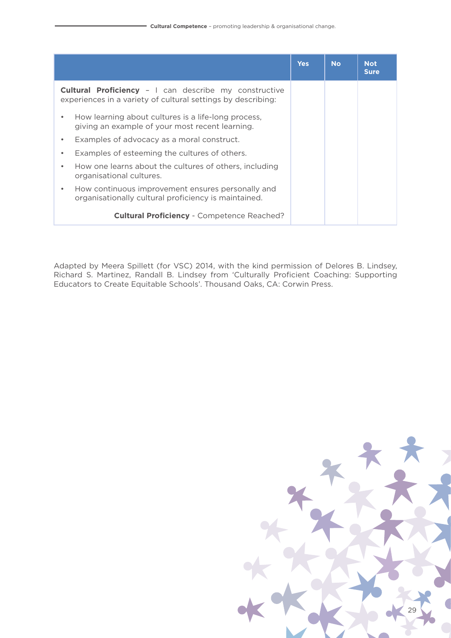|                                                                                                                              | <b>Yes</b> | <b>No</b> | <b>Not</b><br><b>Sure</b> |
|------------------------------------------------------------------------------------------------------------------------------|------------|-----------|---------------------------|
| <b>Cultural Proficiency - I</b> can describe my constructive<br>experiences in a variety of cultural settings by describing: |            |           |                           |
| How learning about cultures is a life-long process,<br>$\bullet$<br>giving an example of your most recent learning.          |            |           |                           |
| Examples of advocacy as a moral construct.<br>$\bullet$                                                                      |            |           |                           |
| Examples of esteeming the cultures of others.<br>٠                                                                           |            |           |                           |
| How one learns about the cultures of others, including<br>۰<br>organisational cultures.                                      |            |           |                           |
| How continuous improvement ensures personally and<br>$\bullet$<br>organisationally cultural proficiency is maintained.       |            |           |                           |
| <b>Cultural Proficiency - Competence Reached?</b>                                                                            |            |           |                           |

Adapted by Meera Spillett (for VSC) 2014, with the kind permission of Delores B. Lindsey, Richard S. Martinez, Randall B. Lindsey from 'Culturally Proficient Coaching: Supporting Educators to Create Equitable Schools'. Thousand Oaks, CA: Corwin Press.

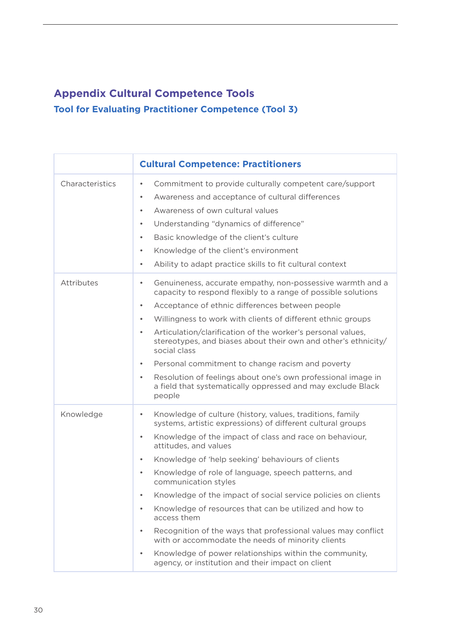### **Appendix Cultural Competence Tools Tool for Evaluating Practitioner Competence (Tool 3)**

|                 | <b>Cultural Competence: Practitioners</b>                                                                                                                                                                                                                                                                                                                                                                                                                                                                                                                                                                                                                                                                                                                                                                                  |
|-----------------|----------------------------------------------------------------------------------------------------------------------------------------------------------------------------------------------------------------------------------------------------------------------------------------------------------------------------------------------------------------------------------------------------------------------------------------------------------------------------------------------------------------------------------------------------------------------------------------------------------------------------------------------------------------------------------------------------------------------------------------------------------------------------------------------------------------------------|
| Characteristics | Commitment to provide culturally competent care/support<br>$\bullet$<br>Awareness and acceptance of cultural differences<br>$\bullet$<br>Awareness of own cultural values<br>$\bullet$<br>Understanding "dynamics of difference"<br>$\bullet$<br>Basic knowledge of the client's culture<br>$\bullet$<br>Knowledge of the client's environment<br>$\bullet$<br>Ability to adapt practice skills to fit cultural context<br>$\bullet$                                                                                                                                                                                                                                                                                                                                                                                       |
| Attributes      | Genuineness, accurate empathy, non-possessive warmth and a<br>$\bullet$<br>capacity to respond flexibly to a range of possible solutions<br>Acceptance of ethnic differences between people<br>$\bullet$<br>Willingness to work with clients of different ethnic groups<br>$\bullet$<br>Articulation/clarification of the worker's personal values,<br>$\bullet$<br>stereotypes, and biases about their own and other's ethnicity/<br>social class<br>Personal commitment to change racism and poverty<br>$\bullet$<br>Resolution of feelings about one's own professional image in<br>$\bullet$<br>a field that systematically oppressed and may exclude Black<br>people                                                                                                                                                  |
| Knowledge       | Knowledge of culture (history, values, traditions, family<br>$\bullet$<br>systems, artistic expressions) of different cultural groups<br>Knowledge of the impact of class and race on behaviour,<br>$\bullet$<br>attitudes, and values<br>Knowledge of 'help seeking' behaviours of clients<br>$\bullet$<br>Knowledge of role of language, speech patterns, and<br>$\bullet$<br>communication styles<br>Knowledge of the impact of social service policies on clients<br>Knowledge of resources that can be utilized and how to<br>$\bullet$<br>access them<br>Recognition of the ways that professional values may conflict<br>$\bullet$<br>with or accommodate the needs of minority clients<br>Knowledge of power relationships within the community,<br>$\bullet$<br>agency, or institution and their impact on client |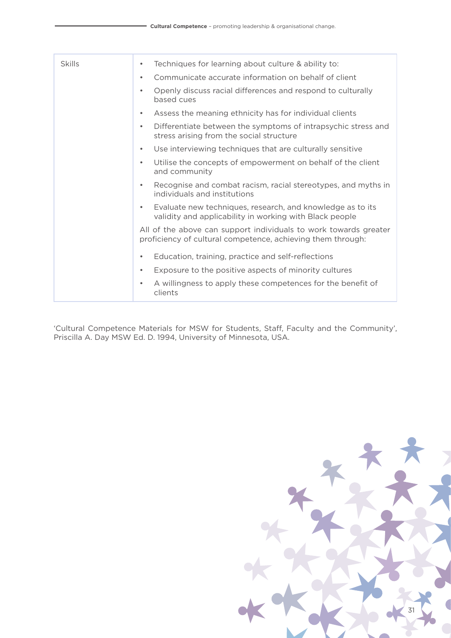| Skills | Techniques for learning about culture & ability to:<br>$\bullet$                                                                |
|--------|---------------------------------------------------------------------------------------------------------------------------------|
|        | Communicate accurate information on behalf of client<br>$\bullet$                                                               |
|        | Openly discuss racial differences and respond to culturally<br>$\bullet$<br>based cues                                          |
|        | Assess the meaning ethnicity has for individual clients<br>٠                                                                    |
|        | Differentiate between the symptoms of intrapsychic stress and<br>$\bullet$<br>stress arising from the social structure          |
|        | Use interviewing techniques that are culturally sensitive<br>$\bullet$                                                          |
|        | Utilise the concepts of empowerment on behalf of the client<br>$\bullet$<br>and community                                       |
|        | Recognise and combat racism, racial stereotypes, and myths in<br>$\bullet$<br>individuals and institutions                      |
|        | Evaluate new techniques, research, and knowledge as to its<br>٠<br>validity and applicability in working with Black people      |
|        | All of the above can support individuals to work towards greater<br>proficiency of cultural competence, achieving them through: |
|        | Education, training, practice and self-reflections<br>$\bullet$                                                                 |
|        | Exposure to the positive aspects of minority cultures<br>$\bullet$                                                              |
|        | A willingness to apply these competences for the benefit of<br>٠<br>clients                                                     |

'Cultural Competence Materials for MSW for Students, Staff, Faculty and the Community', Priscilla A. Day MSW Ed. D. 1994, University of Minnesota, USA.